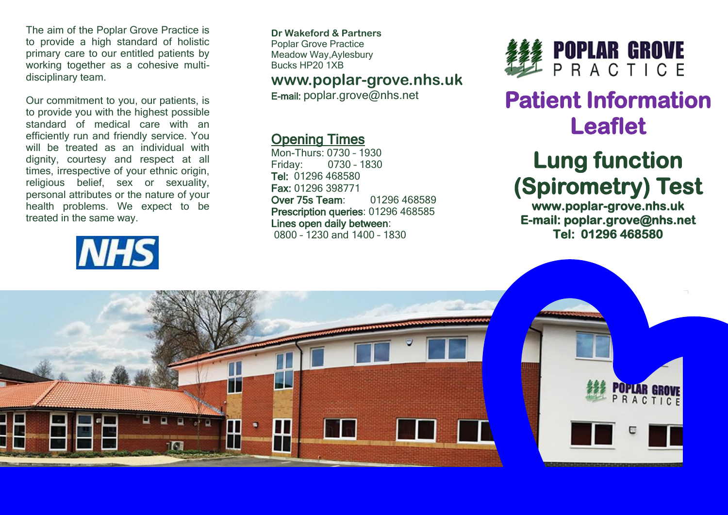The aim of the Poplar Grove Practice is to provide a high standard of holistic primary care to our entitled patients by working together as a cohesive multidisciplinary team.

Our commitment to you, our patients, is to provide you with the highest possible standard of medical care with an efficiently run and friendly service. You will be treated as an individual with dignity, courtesy and respect at all times, irrespective of your ethnic origin, religious belief, sex or sexuality, personal attributes or the nature of your health problems. We expect to be treated in the same way.

# **NHS**

**Dr Wakeford & Partners** Poplar Grove Practice Meadow Way,Aylesbury Bucks HP20 1XB

### **www.poplar-grove.nhs.uk**

E-mail: [poplar.grove@nhs.net](mailto:poplar.grove@nhs.net)

### Opening Times

Mon-Thurs: 0730 – 1930 Friday: 0730 – 1830 Tel: 01296 468580 Fax: 01296 398771 Over 75s Team: 01296 468589 Prescription queries: 01296 468585 Lines open daily between: 0800 – 1230 and 1400 – 1830



## **Patient Information Leaflet**

## **Lung function (Spirometry) Test**

**www.poplar-grove.nhs.uk E-mail: poplar.grove@nhs.net Tel: 01296 468580**